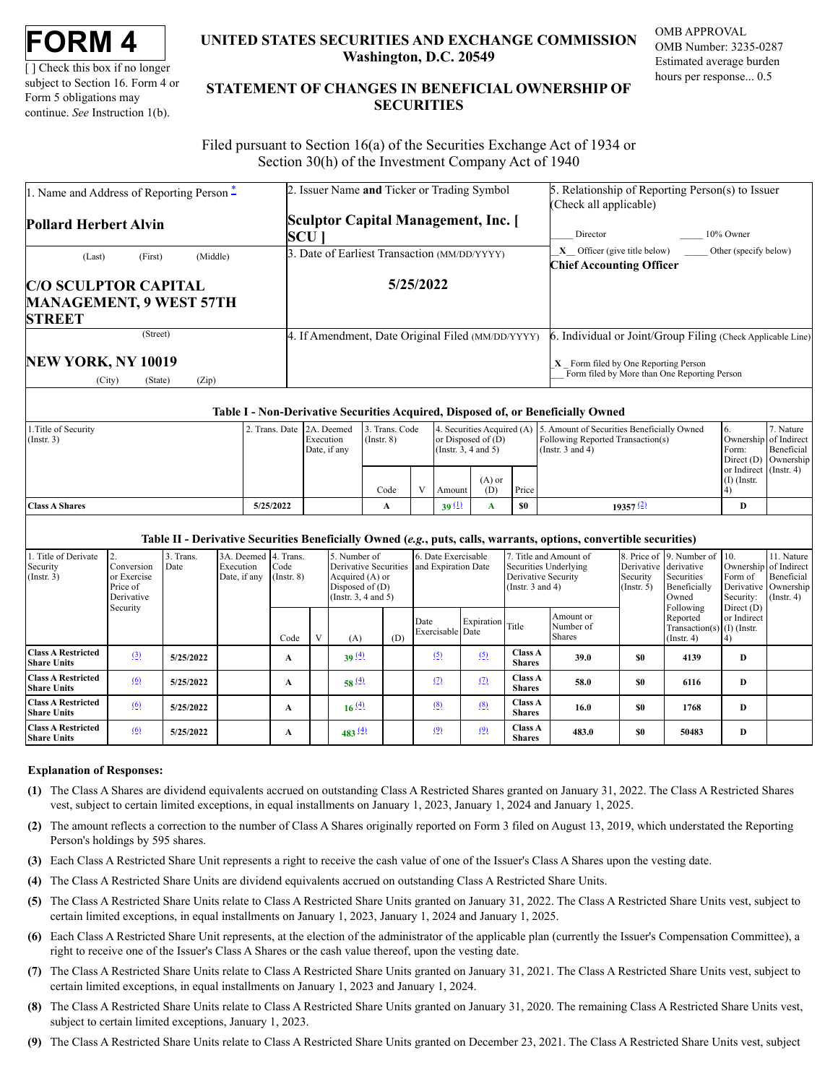| ORM |  |
|-----|--|
|-----|--|

[ ] Check this box if no longer subject to Section 16. Form 4 or Form 5 obligations may continue. *See* Instruction 1(b).

# **UNITED STATES SECURITIES AND EXCHANGE COMMISSION Washington, D.C. 20549**

OMB APPROVAL OMB Number: 3235-0287 Estimated average burden hours per response... 0.5

# **STATEMENT OF CHANGES IN BENEFICIAL OWNERSHIP OF SECURITIES**

Filed pursuant to Section 16(a) of the Securities Exchange Act of 1934 or Section 30(h) of the Investment Company Act of 1940

| 1. Name and Address of Reporting Person $\ddot{\text{-}}$ | 2. Issuer Name and Ticker or Trading Symbol       | 5. Relationship of Reporting Person(s) to Issuer                                       |
|-----------------------------------------------------------|---------------------------------------------------|----------------------------------------------------------------------------------------|
|                                                           |                                                   | (Check all applicable)                                                                 |
| <b>Pollard Herbert Alvin</b>                              | Sculptor Capital Management, Inc. [               |                                                                                        |
|                                                           | SCU                                               | 10% Owner<br>Director                                                                  |
| (Middle)<br>(First)<br>(Last)                             | 3. Date of Earliest Transaction (MM/DD/YYYY)      | $X$ Officer (give title below) Other (specify below)                                   |
|                                                           |                                                   | <b>Chief Accounting Officer</b>                                                        |
| <b>C/O SCULPTOR CAPITAL</b>                               | 5/25/2022                                         |                                                                                        |
| <b>MANAGEMENT, 9 WEST 57TH</b>                            |                                                   |                                                                                        |
| <b>STREET</b>                                             |                                                   |                                                                                        |
| (Street)                                                  | 4. If Amendment, Date Original Filed (MM/DD/YYYY) | 6. Individual or Joint/Group Filing (Check Applicable Line)                            |
| NEW YORK, NY 10019<br>(State)<br>(Zip)<br>(City)          |                                                   | $X$ Form filed by One Reporting Person<br>Form filed by More than One Reporting Person |

### **Table I - Non-Derivative Securities Acquired, Disposed of, or Beneficially Owned**

| 1. Title of Security  | 2. Trans. Date 2A. Deemed |              | 3. Trans. Code   |  |                           |          |       | 4. Securities Acquired (A) 5. Amount of Securities Beneficially Owned | 16.                    | 7. Nature  |
|-----------------------|---------------------------|--------------|------------------|--|---------------------------|----------|-------|-----------------------------------------------------------------------|------------------------|------------|
| $($ Instr. 3)         |                           | Execution    | $($ Instr $, 8)$ |  | or Disposed of (D)        |          |       | Following Reported Transaction(s)                                     | Ownership of Indirect  |            |
|                       |                           | Date, if any |                  |  | $($ Instr. 3, 4 and 5 $)$ |          |       | (Instr. $3$ and $4$ )                                                 | Form:                  | Beneficial |
|                       |                           |              |                  |  |                           |          |       |                                                                       | Direct $(D)$ Ownership |            |
|                       |                           |              |                  |  |                           |          |       |                                                                       | or Indirect (Instr. 4) |            |
|                       |                           |              |                  |  |                           | $(A)$ or |       |                                                                       | $(I)$ (Instr.          |            |
|                       |                           |              | Code             |  | Amount                    | (D)      | Price |                                                                       |                        |            |
| <b>Class A Shares</b> | 5/25/2022                 |              | A                |  | 39(1)                     |          | - \$0 | 19357(2)                                                              | D                      |            |
|                       |                           |              |                  |  |                           |          |       |                                                                       |                        |            |

### **Table II - Derivative Securities Beneficially Owned (***e.g.***, puts, calls, warrants, options, convertible securities)**

| 1. Title of Derivate<br>Security<br>$($ Instr. 3 $)$ | Conversion<br>or Exercise<br>Price of<br>Derivative | 3. Trans.<br>Date | 3A. Deemed 4. Trans.<br>Execution<br>Date, if any | Code<br>$($ Instr. $8)$ |              |            |     | Derivative Securities<br>Acquired (A) or<br>(Instr. $3, 4$ and $5$ ) |                  | 5. Number of<br>Disposed of (D) |                                         |                                                              | Title and Amount of<br>Securities Underlying<br>Derivative Security<br>(Instr. $3$ and $4$ ) |   | 6. Date Exercisable<br>and Expiration Date |  |           |                             | 8. Price of 19. Number of 10.<br>Derivative derivative<br>Securities<br>Beneficially<br>Owned | Ownership of Indirect<br>Form of<br>Derivative Ownership<br>Security: | 11. Nature<br>Beneficial<br>$($ Instr. 4 $)$ |
|------------------------------------------------------|-----------------------------------------------------|-------------------|---------------------------------------------------|-------------------------|--------------|------------|-----|----------------------------------------------------------------------|------------------|---------------------------------|-----------------------------------------|--------------------------------------------------------------|----------------------------------------------------------------------------------------------|---|--------------------------------------------|--|-----------|-----------------------------|-----------------------------------------------------------------------------------------------|-----------------------------------------------------------------------|----------------------------------------------|
|                                                      | Security                                            |                   |                                                   | Code                    | $\mathbf{V}$ | (A)        | (D) | Date<br>Exercisable Date                                             | Expiration Title |                                 | Amount or<br>Number of<br><b>Shares</b> | Reported<br>Transaction(s) $(I)$ (Instr.<br>$($ Instr. 4 $)$ |                                                                                              |   |                                            |  | Following | Direct $(D)$<br>or Indirect |                                                                                               |                                                                       |                                              |
| <b>Class A Restricted</b><br><b>Share Units</b>      | (3)                                                 | 5/25/2022         |                                                   | А                       |              | 39(4)      |     | (5)                                                                  | (5)              | <b>Class A</b><br><b>Shares</b> | 39.0                                    | \$0                                                          | 4139                                                                                         | D |                                            |  |           |                             |                                                                                               |                                                                       |                                              |
| <b>Class A Restricted</b><br><b>Share Units</b>      | (6)                                                 | 5/25/2022         |                                                   | А                       |              | 58(4)      |     | (2)                                                                  | (2)              | <b>Class A</b><br><b>Shares</b> | 58.0                                    | \$0                                                          | 6116                                                                                         | D |                                            |  |           |                             |                                                                                               |                                                                       |                                              |
| <b>Class A Restricted</b><br><b>Share Units</b>      | (6)                                                 | 5/25/2022         |                                                   | A                       |              | $16^{(4)}$ |     | (8)                                                                  | (8)              | <b>Class A</b><br><b>Shares</b> | 16.0                                    | <b>SO</b>                                                    | 1768                                                                                         | D |                                            |  |           |                             |                                                                                               |                                                                       |                                              |
| <b>Class A Restricted</b><br><b>Share Units</b>      | (6)                                                 | 5/25/2022         |                                                   | А                       |              | 483(4)     |     | (9)                                                                  | (9)              | <b>Class A</b><br><b>Shares</b> | 483.0                                   | <b>SO</b>                                                    | 50483                                                                                        | D |                                            |  |           |                             |                                                                                               |                                                                       |                                              |

#### **Explanation of Responses:**

- <span id="page-0-0"></span>**(1)** The Class A Shares are dividend equivalents accrued on outstanding Class A Restricted Shares granted on January 31, 2022. The Class A Restricted Shares vest, subject to certain limited exceptions, in equal installments on January 1, 2023, January 1, 2024 and January 1, 2025.
- <span id="page-0-1"></span>**(2)** The amount reflects a correction to the number of Class A Shares originally reported on Form 3 filed on August 13, 2019, which understated the Reporting Person's holdings by 595 shares.
- <span id="page-0-2"></span>**(3)** Each Class A Restricted Share Unit represents a right to receive the cash value of one of the Issuer's Class A Shares upon the vesting date.
- <span id="page-0-3"></span>**(4)** The Class A Restricted Share Units are dividend equivalents accrued on outstanding Class A Restricted Share Units.
- <span id="page-0-4"></span>**(5)** The Class A Restricted Share Units relate to Class A Restricted Share Units granted on January 31, 2022. The Class A Restricted Share Units vest, subject to certain limited exceptions, in equal installments on January 1, 2023, January 1, 2024 and January 1, 2025.
- <span id="page-0-5"></span>**(6)** Each Class A Restricted Share Unit represents, at the election of the administrator of the applicable plan (currently the Issuer's Compensation Committee), a right to receive one of the Issuer's Class A Shares or the cash value thereof, upon the vesting date.
- <span id="page-0-6"></span>**(7)** The Class A Restricted Share Units relate to Class A Restricted Share Units granted on January 31, 2021. The Class A Restricted Share Units vest, subject to certain limited exceptions, in equal installments on January 1, 2023 and January 1, 2024.
- <span id="page-0-7"></span>**(8)** The Class A Restricted Share Units relate to Class A Restricted Share Units granted on January 31, 2020. The remaining Class A Restricted Share Units vest, subject to certain limited exceptions, January 1, 2023.
- <span id="page-0-8"></span>**(9)** The Class A Restricted Share Units relate to Class A Restricted Share Units granted on December 23, 2021. The Class A Restricted Share Units vest, subject